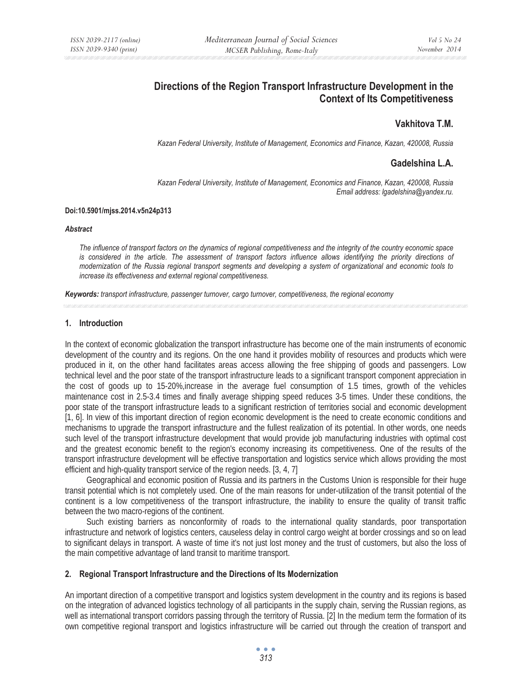# **Directions of the Region Transport Infrastructure Development in the Context of Its Competitiveness**

# **Vakhitova T.M.**

*Kazan Federal University, Institute of Management, Economics and Finance, Kazan, 420008, Russia* 

# **Gadelshina L.A.**

*Kazan Federal University, Institute of Management, Economics and Finance, Kazan, 420008, Russia Email address: lgadelshina@yandex.ru.* 

### **Doi:10.5901/mjss.2014.v5n24p313**

#### *Abstract*

*The influence of transport factors on the dynamics of regional competitiveness and the integrity of the country economic space*  is considered in the article. The assessment of transport factors influence allows identifying the priority directions of *modernization of the Russia regional transport segments and developing a system of organizational and economic tools to increase its effectiveness and external regional competitiveness.* 

*Keywords: transport infrastructure, passenger turnover, cargo turnover, competitiveness, the regional economy*

# **1. Introduction**

In the context of economic globalization the transport infrastructure has become one of the main instruments of economic development of the country and its regions. On the one hand it provides mobility of resources and products which were produced in it, on the other hand facilitates areas access allowing the free shipping of goods and passengers. Low technical level and the poor state of the transport infrastructure leads to a significant transport component appreciation in the cost of goods up to 15-20%,increase in the average fuel consumption of 1.5 times, growth of the vehicles maintenance cost in 2.5-3.4 times and finally average shipping speed reduces 3-5 times. Under these conditions, the poor state of the transport infrastructure leads to a significant restriction of territories social and economic development [1, 6]. In view of this important direction of region economic development is the need to create economic conditions and mechanisms to upgrade the transport infrastructure and the fullest realization of its potential. In other words, one needs such level of the transport infrastructure development that would provide job manufacturing industries with optimal cost and the greatest economic benefit to the region's economy increasing its competitiveness. One of the results of the transport infrastructure development will be effective transportation and logistics service which allows providing the most efficient and high-quality transport service of the region needs. [3, 4, 7]

Geographical and economic position of Russia and its partners in the Customs Union is responsible for their huge transit potential which is not completely used. One of the main reasons for under-utilization of the transit potential of the continent is a low competitiveness of the transport infrastructure, the inability to ensure the quality of transit traffic between the two macro-regions of the continent.

Such existing barriers as nonconformity of roads to the international quality standards, poor transportation infrastructure and network of logistics centers, causeless delay in control cargo weight at border crossings and so on lead to significant delays in transport. A waste of time it's not just lost money and the trust of customers, but also the loss of the main competitive advantage of land transit to maritime transport.

# **2. Regional Transport Infrastructure and the Directions of Its Modernization**

An important direction of a competitive transport and logistics system development in the country and its regions is based on the integration of advanced logistics technology of all participants in the supply chain, serving the Russian regions, as well as international transport corridors passing through the territory of Russia. [2] In the medium term the formation of its own competitive regional transport and logistics infrastructure will be carried out through the creation of transport and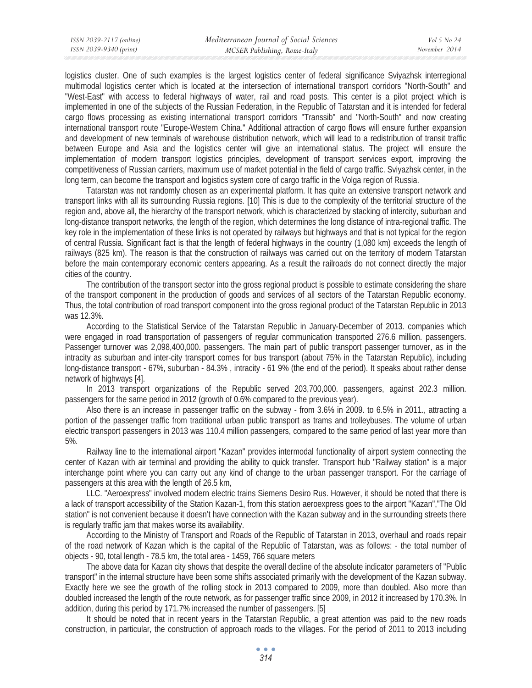logistics cluster. One of such examples is the largest logistics center of federal significance Sviyazhsk interregional multimodal logistics center which is located at the intersection of international transport corridors "North-South" and "West-East" with access to federal highways of water, rail and road posts. This center is a pilot project which is implemented in one of the subjects of the Russian Federation, in the Republic of Tatarstan and it is intended for federal cargo flows processing as existing international transport corridors "Transsib" and "North-South" and now creating international transport route "Europe-Western China." Additional attraction of cargo flows will ensure further expansion and development of new terminals of warehouse distribution network, which will lead to a redistribution of transit traffic between Europe and Asia and the logistics center will give an international status. The project will ensure the implementation of modern transport logistics principles, development of transport services export, improving the competitiveness of Russian carriers, maximum use of market potential in the field of cargo traffic. Sviyazhsk center, in the long term, can become the transport and logistics system core of cargo traffic in the Volga region of Russia.

Tatarstan was not randomly chosen as an experimental platform. It has quite an extensive transport network and transport links with all its surrounding Russia regions. [10] This is due to the complexity of the territorial structure of the region and, above all, the hierarchy of the transport network, which is characterized by stacking of intercity, suburban and long-distance transport networks, the length of the region, which determines the long distance of intra-regional traffic. The key role in the implementation of these links is not operated by railways but highways and that is not typical for the region of central Russia. Significant fact is that the length of federal highways in the country (1,080 km) exceeds the length of railways (825 km). The reason is that the construction of railways was carried out on the territory of modern Tatarstan before the main contemporary economic centers appearing. As a result the railroads do not connect directly the major cities of the country.

The contribution of the transport sector into the gross regional product is possible to estimate considering the share of the transport component in the production of goods and services of all sectors of the Tatarstan Republic economy. Thus, the total contribution of road transport component into the gross regional product of the Tatarstan Republic in 2013 was 12.3%.

According to the Statistical Service of the Tatarstan Republic in January-December of 2013. companies which were engaged in road transportation of passengers of regular communication transported 276.6 million. passengers. Passenger turnover was 2,098,400,000. passengers. The main part of public transport passenger turnover, as in the intracity as suburban and inter-city transport comes for bus transport (about 75% in the Tatarstan Republic), including long-distance transport - 67%, suburban - 84.3% , intracity - 61 9% (the end of the period). It speaks about rather dense network of highways [4].

In 2013 transport organizations of the Republic served 203,700,000. passengers, against 202.3 million. passengers for the same period in 2012 (growth of 0.6% compared to the previous year).

Also there is an increase in passenger traffic on the subway - from 3.6% in 2009. to 6.5% in 2011., attracting a portion of the passenger traffic from traditional urban public transport as trams and trolleybuses. The volume of urban electric transport passengers in 2013 was 110.4 million passengers, compared to the same period of last year more than 5%.

Railway line to the international airport "Kazan" provides intermodal functionality of airport system connecting the center of Kazan with air terminal and providing the ability to quick transfer. Transport hub "Railway station" is a major interchange point where you can carry out any kind of change to the urban passenger transport. For the carriage of passengers at this area with the length of 26.5 km,

LLC. "Aeroexpress" involved modern electric trains Siemens Desiro Rus. However, it should be noted that there is a lack of transport accessibility of the Station Kazan-1, from this station aeroexpress goes to the airport "Kazan","The Old station" is not convenient because it doesn't have connection with the Kazan subway and in the surrounding streets there is regularly traffic jam that makes worse its availability.

According to the Ministry of Transport and Roads of the Republic of Tatarstan in 2013, overhaul and roads repair of the road network of Kazan which is the capital of the Republic of Tatarstan, was as follows: - the total number of objects - 90, total length - 78.5 km, the total area - 1459, 766 square meters

The above data for Kazan city shows that despite the overall decline of the absolute indicator parameters of "Public transport" in the internal structure have been some shifts associated primarily with the development of the Kazan subway. Exactly here we see the growth of the rolling stock in 2013 compared to 2009, more than doubled. Also more than doubled increased the length of the route network, as for passenger traffic since 2009, in 2012 it increased by 170.3%. In addition, during this period by 171.7% increased the number of passengers. [5]

It should be noted that in recent years in the Tatarstan Republic, a great attention was paid to the new roads construction, in particular, the construction of approach roads to the villages. For the period of 2011 to 2013 including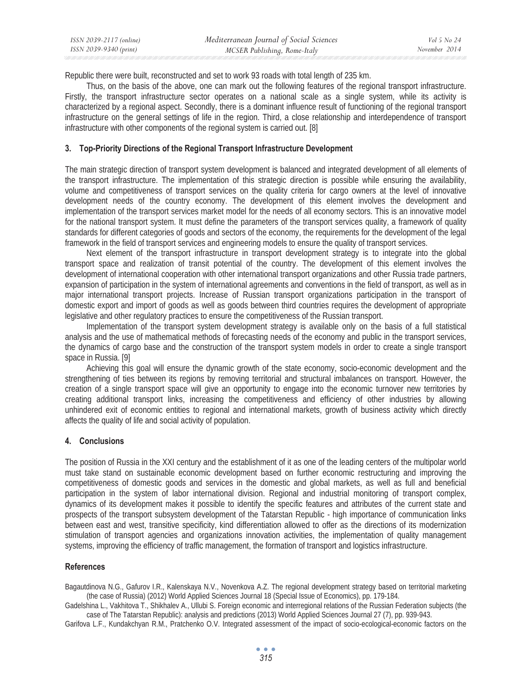| ISSN 2039-2117 (online) | Mediterranean Journal of Social Sciences | Vol 5 No 24   |
|-------------------------|------------------------------------------|---------------|
| ISSN 2039-9340 (print)  | MCSER Publishing, Rome-Italy             | November 2014 |

Republic there were built, reconstructed and set to work 93 roads with total length of 235 km.

Thus, on the basis of the above, one can mark out the following features of the regional transport infrastructure. Firstly, the transport infrastructure sector operates on a national scale as a single system, while its activity is characterized by a regional aspect. Secondly, there is a dominant influence result of functioning of the regional transport infrastructure on the general settings of life in the region. Third, a close relationship and interdependence of transport infrastructure with other components of the regional system is carried out. [8]

## **3. Top-Priority Directions of the Regional Transport Infrastructure Development**

The main strategic direction of transport system development is balanced and integrated development of all elements of the transport infrastructure. The implementation of this strategic direction is possible while ensuring the availability, volume and competitiveness of transport services on the quality criteria for cargo owners at the level of innovative development needs of the country economy. The development of this element involves the development and implementation of the transport services market model for the needs of all economy sectors. This is an innovative model for the national transport system. It must define the parameters of the transport services quality, a framework of quality standards for different categories of goods and sectors of the economy, the requirements for the development of the legal framework in the field of transport services and engineering models to ensure the quality of transport services.

Next element of the transport infrastructure in transport development strategy is to integrate into the global transport space and realization of transit potential of the country. The development of this element involves the development of international cooperation with other international transport organizations and other Russia trade partners, expansion of participation in the system of international agreements and conventions in the field of transport, as well as in major international transport projects. Increase of Russian transport organizations participation in the transport of domestic export and import of goods as well as goods between third countries requires the development of appropriate legislative and other regulatory practices to ensure the competitiveness of the Russian transport.

Implementation of the transport system development strategy is available only on the basis of a full statistical analysis and the use of mathematical methods of forecasting needs of the economy and public in the transport services, the dynamics of cargo base and the construction of the transport system models in order to create a single transport space in Russia. [9]

Achieving this goal will ensure the dynamic growth of the state economy, socio-economic development and the strengthening of ties between its regions by removing territorial and structural imbalances on transport. However, the creation of a single transport space will give an opportunity to engage into the economic turnover new territories by creating additional transport links, increasing the competitiveness and efficiency of other industries by allowing unhindered exit of economic entities to regional and international markets, growth of business activity which directly affects the quality of life and social activity of population.

### **4. Conclusions**

The position of Russia in the XXI century and the establishment of it as one of the leading centers of the multipolar world must take stand on sustainable economic development based on further economic restructuring and improving the competitiveness of domestic goods and services in the domestic and global markets, as well as full and beneficial participation in the system of labor international division. Regional and industrial monitoring of transport complex, dynamics of its development makes it possible to identify the specific features and attributes of the current state and prospects of the transport subsystem development of the Tatarstan Republic - high importance of communication links between east and west, transitive specificity, kind differentiation allowed to offer as the directions of its modernization stimulation of transport agencies and organizations innovation activities, the implementation of quality management systems, improving the efficiency of traffic management, the formation of transport and logistics infrastructure.

### **References**

Bagautdinova N.G., Gafurov I.R., Kalenskaya N.V., Novenkova A.Z. The regional development strategy based on territorial marketing (the case of Russia) (2012) World Applied Sciences Journal 18 (Special Issue of Economics), pp. 179-184.

Gadelshina L., Vakhitova T., Shikhalev A., Ullubi S. Foreign economic and interregional relations of the Russian Federation subjects (the case of The Tatarstan Republic): analysis and predictions (2013) World Applied Sciences Journal 27 (7), pp. 939-943.

Garifova L.F., Kundakchyan R.M., Pratchenko O.V. Integrated assessment of the impact of socio-ecological-economic factors on the